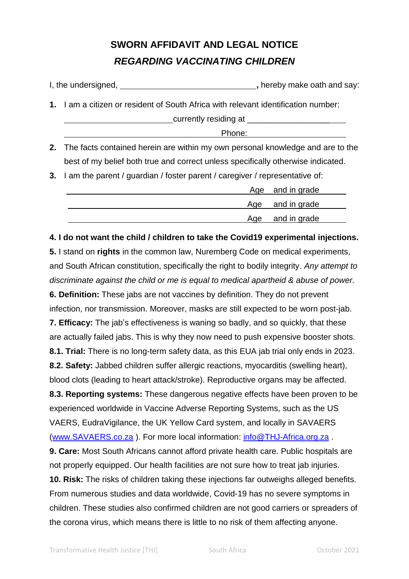## **SWORN AFFIDAVIT AND LEGAL NOTICE** *REGARDING VACCINATING CHILDREN*

| I, the undersigned,<br>, hereby make oath and say: |                                                                                    |  |  |
|----------------------------------------------------|------------------------------------------------------------------------------------|--|--|
|                                                    | 1. I am a citizen or resident of South Africa with relevant identification number: |  |  |
|                                                    | _currently residing at ______________________                                      |  |  |
|                                                    | Phone:                                                                             |  |  |
|                                                    | 2. The facts contained herein are within my own personal knowledge and are to the  |  |  |
|                                                    | best of my belief both true and correct unless specifically otherwise indicated.   |  |  |
|                                                    | 3. I am the parent / guardian / foster parent / caregiver / representative of:     |  |  |
|                                                    | and in grade<br>Age                                                                |  |  |

|  | Age and in grade |
|--|------------------|
|  | Age and in grade |
|  | Age and in grade |

## **4. I do not want the child / children to take the Covid19 experimental injections.**

**5.** I stand on **rights** in the common law, Nuremberg Code on medical experiments, and South African constitution, specifically the right to bodily integrity. *Any attempt to discriminate against the child or me is equal to medical apartheid & abuse of power.*

**6. Definition:** These jabs are not vaccines by definition. They do not prevent infection, nor transmission. Moreover, masks are still expected to be worn post-jab. **7. Efficacy:** The jab's effectiveness is waning so badly, and so quickly, that these are actually failed jabs. This is why they now need to push expensive booster shots. **8.1. Trial:** There is no long-term safety data, as this EUA jab trial only ends in 2023. **8.2. Safety:** Jabbed children suffer allergic reactions, myocarditis (swelling heart), blood clots (leading to heart attack/stroke). Reproductive organs may be affected. **8.3. Reporting systems:** These dangerous negative effects have been proven to be experienced worldwide in Vaccine Adverse Reporting Systems, such as the US VAERS, EudraVigilance, the UK Yellow Card system, and locally in SAVAERS [\(www.SAVAERS.co.za](http://www.savaers.co.za/)). For more local information: [info@THJ-Africa.org.za](mailto:info@THJ-Africa.org.za). **9. Care:** Most South Africans cannot afford private health care. Public hospitals are not properly equipped. Our health facilities are not sure how to treat jab injuries. **10. Risk:** The risks of children taking these injections far outweighs alleged benefits. From numerous studies and data worldwide, Covid-19 has no severe symptoms in children. These studies also confirmed children are not good carriers or spreaders of

the corona virus, which means there is little to no risk of them affecting anyone.